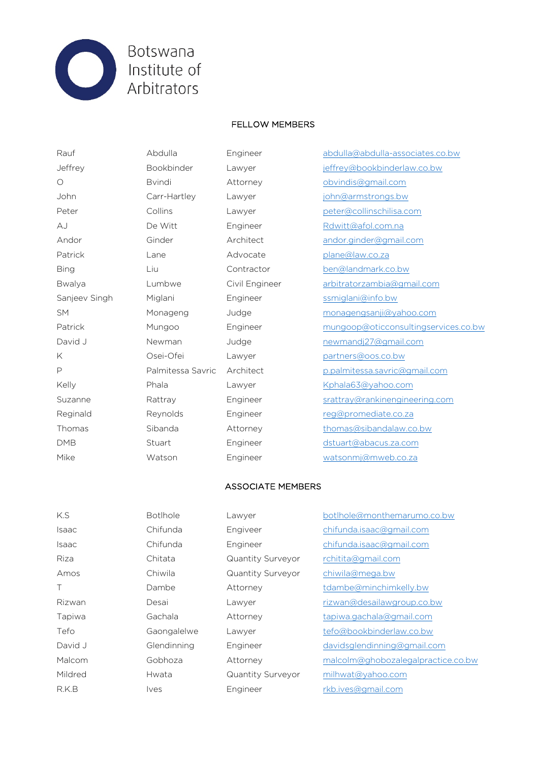

## FELLOW MEMBERS

Patrick Lane Lane Advocate plane@law.co.za Sanjeev Singh Miglani Bingineer sanjeev Singh Miglani Mike Watson Engineer watsonmj@mweb.co.za

Rauf Abdulla Engineer abdulla@abdulla-associates.co.bw Jeffrey Bookbinder Lawyer jeffrey@bookbinderlaw.co.bw O Bvindi Attorney obvindis@gmail.com John Carr-Hartley Lawyer john@armstrongs.bw Peter Collins Lawyer peter@collinschilisa.com AJ De Witt Engineer Rdwitt@afol.com.na Andor Ginder Architect andor.ginder@gmail.com Bing Liu Contractor ben@landmark.co.bw Bwalya Lumbwe Civil Engineer arbitratorzambia@gmail.com SM Monageng Judge monagengsanji@yahoo.com Patrick Mungoo Engineer mungoop@oticconsultingservices.co.bw David J Mewman Judge newmandj27@gmail.com K Osei-Ofei Lawyer partners@oos.co.bw P Palmitessa Savric Architect p.palmitessa.savric@gmail.com Kelly Phala Lawyer Kphala63@yahoo.com Suzanne **Rattray Engineer** Suzanne Rattray Rattray Engineer strattray@rankinengineering.com Reginald Reynolds Engineer reg@promediate.co.za Thomas Sibanda Attorney thomas@sibandalaw.co.bw DMB Stuart Engineer dstuart@abacus.za.com

## ASSOCIATE MEMBERS

| K.S          | <b>Botlhole</b> | Lawyer                   | botlhole@monthemarumo.co.bw        |
|--------------|-----------------|--------------------------|------------------------------------|
| Isaac        | Chifunda        | Engiveer                 | chifunda.isaac@gmail.com           |
| <b>Isaac</b> | Chifunda        | Engineer                 | chifunda.isaac@gmail.com           |
| Riza         | Chitata         | <b>Quantity Surveyor</b> | rchitita@gmail.com                 |
| Amos         | Chiwila         | <b>Quantity Surveyor</b> | chiwila@mega.bw                    |
| Τ            | Dambe           | Attorney                 | tdambe@minchimkelly.bw             |
| Rizwan       | Desai           | Lawyer                   | rizwan@desailawgroup.co.bw         |
| Tapiwa       | Gachala         | Attorney                 | tapiwa.gachala@gmail.com           |
| Tefo         | Gaongalelwe     | Lawyer                   | tefo@bookbinderlaw.co.bw           |
| David J      | Glendinning     | Engineer                 | davidsglendinning@gmail.com        |
| Malcom       | Gobhoza         | Attorney                 | malcolm@ghobozalegalpractice.co.bw |
| Mildred      | Hwata           | <b>Quantity Surveyor</b> | milhwat@yahoo.com                  |
| R.K.B        | <i>lves</i>     | Engineer                 | rkb.ives@gmail.com                 |